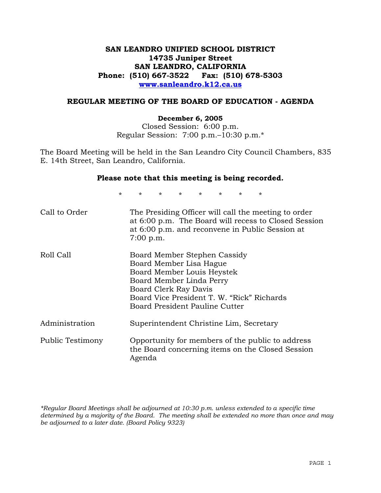# **SAN LEANDRO UNIFIED SCHOOL DISTRICT 14735 Juniper Street SAN LEANDRO, CALIFORNIA Phone: (510) 667-3522 Fax: (510) 678-5303 www.sanleandro.k12.ca.us**

### **REGULAR MEETING OF THE BOARD OF EDUCATION - AGENDA**

#### **December 6, 2005**

Closed Session: 6:00 p.m. Regular Session: 7:00 p.m.–10:30 p.m.\*

The Board Meeting will be held in the San Leandro City Council Chambers, 835 E. 14th Street, San Leandro, California.

#### **Please note that this meeting is being recorded.**

\* \* \* \* \* \* \* \* Call to Order The Presiding Officer will call the meeting to order at 6:00 p.m. The Board will recess to Closed Session at 6:00 p.m. and reconvene in Public Session at 7:00 p.m. Roll Call Board Member Stephen Cassidy Board Member Lisa Hague Board Member Louis Heystek Board Member Linda Perry Board Clerk Ray Davis Board Vice President T. W. "Rick" Richards Board President Pauline Cutter Administration Superintendent Christine Lim, Secretary Public Testimony Opportunity for members of the public to address the Board concerning items on the Closed Session Agenda

*\*Regular Board Meetings shall be adjourned at 10:30 p.m. unless extended to a specific time determined by a majority of the Board. The meeting shall be extended no more than once and may be adjourned to a later date. (Board Policy 9323)*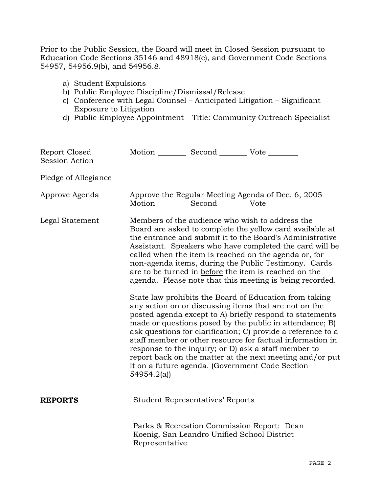Prior to the Public Session, the Board will meet in Closed Session pursuant to Education Code Sections 35146 and 48918(c), and Government Code Sections 54957, 54956.9(b), and 54956.8.

- a) Student Expulsions
- b) Public Employee Discipline/Dismissal/Release
- c) Conference with Legal Counsel Anticipated Litigation Significant Exposure to Litigation
- d) Public Employee Appointment Title: Community Outreach Specialist

| Report Closed<br><b>Session Action</b> | Motion Second Vote                                |                                             |                                                                                                                                                                                                                                                                                                                                                                                                                                                                                                                                                                                                                                                                                                                                                                                                                                                                                                                                                                                                                        |
|----------------------------------------|---------------------------------------------------|---------------------------------------------|------------------------------------------------------------------------------------------------------------------------------------------------------------------------------------------------------------------------------------------------------------------------------------------------------------------------------------------------------------------------------------------------------------------------------------------------------------------------------------------------------------------------------------------------------------------------------------------------------------------------------------------------------------------------------------------------------------------------------------------------------------------------------------------------------------------------------------------------------------------------------------------------------------------------------------------------------------------------------------------------------------------------|
| Pledge of Allegiance                   |                                                   |                                             |                                                                                                                                                                                                                                                                                                                                                                                                                                                                                                                                                                                                                                                                                                                                                                                                                                                                                                                                                                                                                        |
| Approve Agenda                         | Motion __________ Second __________ Vote ________ |                                             | Approve the Regular Meeting Agenda of Dec. 6, 2005                                                                                                                                                                                                                                                                                                                                                                                                                                                                                                                                                                                                                                                                                                                                                                                                                                                                                                                                                                     |
| Legal Statement                        | 54954.2(a)                                        |                                             | Members of the audience who wish to address the<br>Board are asked to complete the yellow card available at<br>the entrance and submit it to the Board's Administrative<br>Assistant. Speakers who have completed the card will be<br>called when the item is reached on the agenda or, for<br>non-agenda items, during the Public Testimony. Cards<br>are to be turned in before the item is reached on the<br>agenda. Please note that this meeting is being recorded.<br>State law prohibits the Board of Education from taking<br>any action on or discussing items that are not on the<br>posted agenda except to A) briefly respond to statements<br>made or questions posed by the public in attendance; B)<br>ask questions for clarification; C) provide a reference to a<br>staff member or other resource for factual information in<br>response to the inquiry; or D) ask a staff member to<br>report back on the matter at the next meeting and/or put<br>it on a future agenda. (Government Code Section |
| <b>REPORTS</b>                         |                                                   | <b>Student Representatives' Reports</b>     |                                                                                                                                                                                                                                                                                                                                                                                                                                                                                                                                                                                                                                                                                                                                                                                                                                                                                                                                                                                                                        |
|                                        | Representative                                    | Koenig, San Leandro Unified School District | Parks & Recreation Commission Report: Dean                                                                                                                                                                                                                                                                                                                                                                                                                                                                                                                                                                                                                                                                                                                                                                                                                                                                                                                                                                             |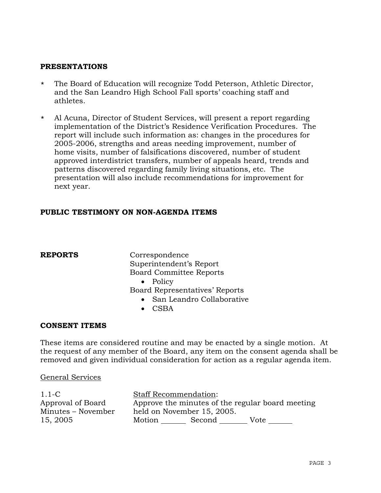# **PRESENTATIONS**

- \* The Board of Education will recognize Todd Peterson, Athletic Director, and the San Leandro High School Fall sports' coaching staff and athletes.
- \* Al Acuna, Director of Student Services, will present a report regarding implementation of the District's Residence Verification Procedures. The report will include such information as: changes in the procedures for 2005-2006, strengths and areas needing improvement, number of home visits, number of falsifications discovered, number of student approved interdistrict transfers, number of appeals heard, trends and patterns discovered regarding family living situations, etc. The presentation will also include recommendations for improvement for next year.

# **PUBLIC TESTIMONY ON NON-AGENDA ITEMS**

**REPORTS** Correspondence Superintendent's Report Board Committee Reports

• Policy

Board Representatives' Reports

- San Leandro Collaborative
- CSBA

## **CONSENT ITEMS**

These items are considered routine and may be enacted by a single motion. At the request of any member of the Board, any item on the consent agenda shall be removed and given individual consideration for action as a regular agenda item.

#### General Services

| $1.1-C$            | <b>Staff Recommendation:</b> |        |                                                  |
|--------------------|------------------------------|--------|--------------------------------------------------|
| Approval of Board  |                              |        | Approve the minutes of the regular board meeting |
| Minutes – November | held on November 15, 2005.   |        |                                                  |
| 15, 2005           | Motion                       | Second | Vote                                             |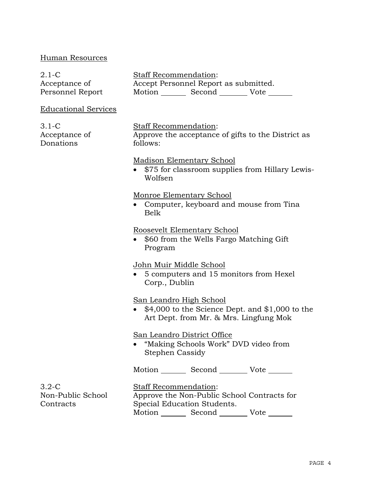# Human Resources

| $2.1 - C$                                 | <b>Staff Recommendation:</b>                                                                                           |  |  |
|-------------------------------------------|------------------------------------------------------------------------------------------------------------------------|--|--|
| Acceptance of                             | Accept Personnel Report as submitted.                                                                                  |  |  |
| Personnel Report                          | Motion _________ Second __________ Vote _______                                                                        |  |  |
| <b>Educational Services</b>               |                                                                                                                        |  |  |
| $3.1 - C$<br>Acceptance of<br>Donations   | <b>Staff Recommendation:</b><br>Approve the acceptance of gifts to the District as<br>follows:                         |  |  |
|                                           | <b>Madison Elementary School</b><br>\$75 for classroom supplies from Hillary Lewis-<br>Wolfsen                         |  |  |
|                                           | Monroe Elementary School<br>• Computer, keyboard and mouse from Tina<br><b>Belk</b>                                    |  |  |
|                                           | Roosevelt Elementary School<br>\$60 from the Wells Fargo Matching Gift<br>Program                                      |  |  |
|                                           | John Muir Middle School<br>• 5 computers and 15 monitors from Hexel<br>Corp., Dublin                                   |  |  |
|                                           | San Leandro High School<br>$$4,000$ to the Science Dept. and $$1,000$ to the<br>Art Dept. from Mr. & Mrs. Lingfung Mok |  |  |
|                                           | San Leandro District Office<br>"Making Schools Work" DVD video from<br>Stephen Cassidy                                 |  |  |
|                                           | Motion Second Vote                                                                                                     |  |  |
| $3.2-C$<br>Non-Public School<br>Contracts | <b>Staff Recommendation:</b><br>Approve the Non-Public School Contracts for<br>Special Education Students.             |  |  |

Motion \_\_\_\_\_\_\_\_\_ Second \_\_\_\_\_\_\_\_\_ Vote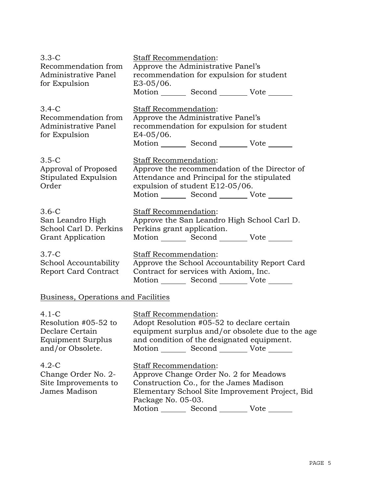| $3.3-C$<br>Recommendation from<br>Administrative Panel<br>for Expulsion                     | Staff Recommendation:<br>Approve the Administrative Panel's<br>recommendation for expulsion for student<br>$E3-05/06$ . |                                                                                                                                   |                                                  |
|---------------------------------------------------------------------------------------------|-------------------------------------------------------------------------------------------------------------------------|-----------------------------------------------------------------------------------------------------------------------------------|--------------------------------------------------|
|                                                                                             |                                                                                                                         | Motion _________ Second __________ Vote _______                                                                                   |                                                  |
| $3.4-C$<br>Recommendation from<br>Administrative Panel<br>for Expulsion                     | <b>Staff Recommendation:</b><br>$E4-05/06$ .                                                                            | Approve the Administrative Panel's<br>recommendation for expulsion for student<br>Motion _________ Second __________ Vote _______ |                                                  |
| $3.5-C$<br>Approval of Proposed<br>Stipulated Expulsion<br>Order                            | Staff Recommendation:                                                                                                   | Attendance and Principal for the stipulated<br>expulsion of student E12-05/06.<br>Motion _________ Second __________ Vote _______ | Approve the recommendation of the Director of    |
| $3.6-C$<br>San Leandro High<br>School Carl D. Perkins<br><b>Grant Application</b>           | Staff Recommendation:<br>Perkins grant application.                                                                     | Approve the San Leandro High School Carl D.<br>Motion _________ Second __________ Vote _______                                    |                                                  |
| $3.7-C$<br>School Accountability<br><b>Report Card Contract</b>                             | <b>Staff Recommendation:</b>                                                                                            | Contract for services with Axiom, Inc.<br>Motion _________ Second __________ Vote _______                                         | Approve the School Accountability Report Card    |
| <b>Business, Operations and Facilities</b>                                                  |                                                                                                                         |                                                                                                                                   |                                                  |
| $4.1-C$<br>Resolution #05-52 to<br>Declare Certain<br>Equipment Surplus<br>and/or Obsolete. | <b>Staff Recommendation:</b>                                                                                            | Adopt Resolution #05-52 to declare certain<br>and condition of the designated equipment.<br>Motion Second Vote                    | equipment surplus and/or obsolete due to the age |
| $4.2-C$<br>Change Order No. 2-<br>Site Improvements to<br>James Madison                     | Staff Recommendation:<br>Package No. 05-03.                                                                             | Approve Change Order No. 2 for Meadows<br>Construction Co., for the James Madison                                                 | Elementary School Site Improvement Project, Bid  |

Motion \_\_\_\_\_\_\_\_\_ Second \_\_\_\_\_\_\_\_\_ Vote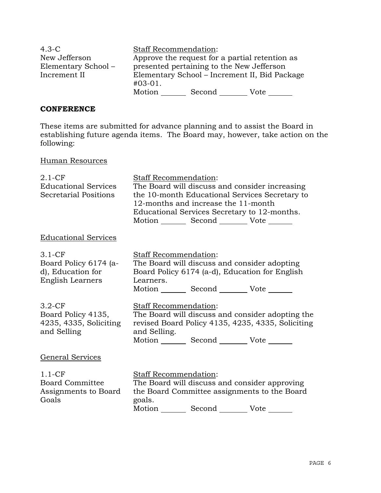| $4.3-C$             | <b>Staff Recommendation:</b>                   |                                           |      |
|---------------------|------------------------------------------------|-------------------------------------------|------|
| New Jefferson       | Approve the request for a partial retention as |                                           |      |
| Elementary School - |                                                | presented pertaining to the New Jefferson |      |
| Increment II        | Elementary School – Increment II, Bid Package  |                                           |      |
|                     | $#03-01.$                                      |                                           |      |
|                     | Motion                                         | Second                                    | Vote |

#### **CONFERENCE**

These items are submitted for advance planning and to assist the Board in establishing future agenda items. The Board may, however, take action on the following:

# Human Resources

| $2.1 - CF$<br><b>Educational Services</b><br><b>Secretarial Positions</b>  | Staff Recommendation:<br>The Board will discuss and consider increasing<br>the 10-month Educational Services Secretary to<br>12-months and increase the 11-month<br>Educational Services Secretary to 12-months.<br>Motion _________ Second __________ Vote _______ |
|----------------------------------------------------------------------------|---------------------------------------------------------------------------------------------------------------------------------------------------------------------------------------------------------------------------------------------------------------------|
| <b>Educational Services</b>                                                |                                                                                                                                                                                                                                                                     |
| $3.1-CF$<br>Board Policy 6174 (a-<br>d), Education for<br>English Learners | Staff Recommendation:<br>The Board will discuss and consider adopting<br>Board Policy 6174 (a-d), Education for English<br>Learners.<br>Motion _________ Second __________ Vote _______                                                                             |
| $3.2-CF$<br>Board Policy 4135,<br>4235, 4335, Soliciting<br>and Selling    | Staff Recommendation:<br>The Board will discuss and consider adopting the<br>revised Board Policy 4135, 4235, 4335, Soliciting<br>and Selling.<br>Motion _________ Second __________ Vote _______                                                                   |
| General Services                                                           |                                                                                                                                                                                                                                                                     |
| $1.1-CF$<br><b>Board Committee</b><br>Assignments to Board<br>Goals        | Staff Recommendation:<br>The Board will discuss and consider approving<br>the Board Committee assignments to the Board<br>goals.<br>Motion _________ Second __________ Vote _______                                                                                 |